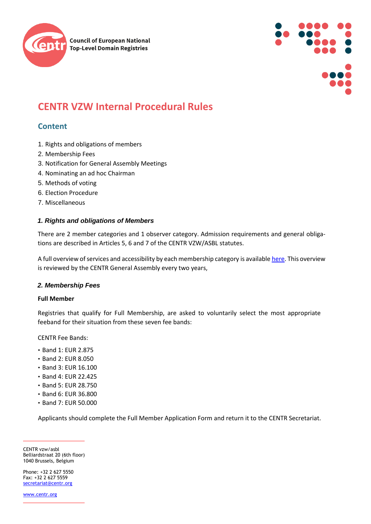



# **CENTR VZW Internal Procedural Rules**

# **Content**

- 1. Rights and obligations of members
- 2. Membership Fees
- 3. Notification for General Assembly Meetings
- 4. Nominating an ad hoc Chairman
- 5. Methods of voting
- 6. Election Procedure
- 7. Miscellaneous

# *1. Rights and obligations of Members*

There are 2 member categories and 1 observer category. Admission requirements and general obligations are described in Articles 5, 6 and 7 of the CENTR VZW/ASBL statutes.

A full overview of services and accessibility by each membership category is availabl[e here.](https://www.centr.org/component/attachments/attachments.html?id=8735&task=download) This overview is reviewed by the CENTR General Assembly every two years,

#### *2. Membership Fees*

#### **Full Member**

Registries that qualify for Full Membership, are asked to voluntarily select the most appropriate feeband for their situation from these seven fee bands:

CENTR Fee Bands:

- Band 1: EUR 2.875
- Band 2: EUR 8.050
- Band 3: EUR 16.100
- Band 4: EUR 22.425
- Band 5: EUR 28.750
- Band 6: EUR 36.800
- Band 7: EUR 50.000

Applicants should complete the Full Member Application Form and return it to the CENTR Secretariat.

CENTR vzw/asbl Belliardstraat 20 (6th floor) 1040 Brussels, Belgium

Phone: +32 2 627 5550 Fax: +32 2 627 5559 [secretariat@centr.org](mailto:secretariat@centr.org)

[www.centr.org](http://www.centr.org/)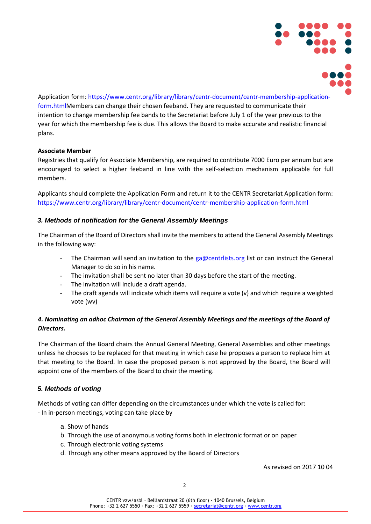

Application form: https://www.centr.org/library/library/centr-document/centr-membership-applicationform.htmlMembers can change their chosen feeband. They are requested to communicate their intention to change membership fee bands to the Secretariat before July 1 of the year previous to the year for which the membership fee is due. This allows the Board to make accurate and realistic financial plans.

#### **Associate Member**

Registries that qualify for Associate Membership, are required to contribute 7000 Euro per annum but are encouraged to select a higher feeband in line with the self-selection mechanism applicable for full members.

Applicants should complete the Application Form and return it to the CENTR Secretariat Application form: https://www.centr.org/library/library/centr-document/centr-membership-application-form.html

#### *3. Methods of notification for the General Assembly Meetings*

The Chairman of the Board of Directors shall invite the members to attend the General Assembly Meetings in the following way:

- The Chairman will send an invitation to the  $ga@centrlists.org$  list or can instruct the General Manager to do so in his name.
- The invitation shall be sent no later than 30 days before the start of the meeting.
- The invitation will include a draft agenda.
- The draft agenda will indicate which items will require a vote  $(v)$  and which require a weighted vote (wv)

# *4. Nominating an adhoc Chairman of the General Assembly Meetings and the meetings of the Board of Directors.*

The Chairman of the Board chairs the Annual General Meeting, General Assemblies and other meetings unless he chooses to be replaced for that meeting in which case he proposes a person to replace him at that meeting to the Board. In case the proposed person is not approved by the Board, the Board will appoint one of the members of the Board to chair the meeting.

#### *5. Methods of voting*

Methods of voting can differ depending on the circumstances under which the vote is called for: - In in-person meetings, voting can take place by

- a. Show of hands
- b. Through the use of anonymous voting forms both in electronic format or on paper
- c. Through electronic voting systems
- d. Through any other means approved by the Board of Directors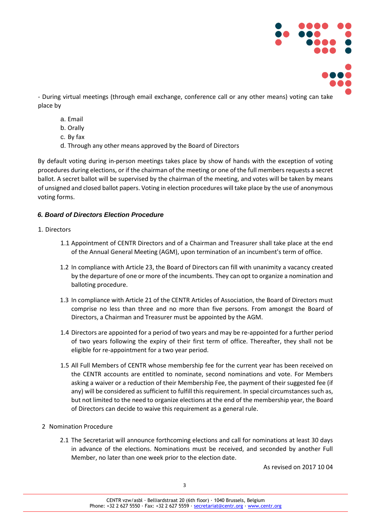

- During virtual meetings (through email exchange, conference call or any other means) voting can take place by

- a. Email
- b. Orally
- c. By fax
- d. Through any other means approved by the Board of Directors

By default voting during in-person meetings takes place by show of hands with the exception of voting procedures during elections, or if the chairman of the meeting or one of the full members requests a secret ballot. A secret ballot will be supervised by the chairman of the meeting, and votes will be taken by means of unsigned and closed ballot papers. Voting in election procedures will take place by the use of anonymous voting forms.

# *6. Board of Directors Election Procedure*

#### 1. Directors

- 1.1 Appointment of CENTR Directors and of a Chairman and Treasurer shall take place at the end of the Annual General Meeting (AGM), upon termination of an incumbent's term of office.
- 1.2 In compliance with Article 23, the Board of Directors can fill with unanimity a vacancy created by the departure of one or more of the incumbents. They can opt to organize a nomination and balloting procedure.
- 1.3 In compliance with Article 21 of the CENTR Articles of Association, the Board of Directors must comprise no less than three and no more than five persons. From amongst the Board of Directors, a Chairman and Treasurer must be appointed by the AGM.
- 1.4 Directors are appointed for a period of two years and may be re-appointed for a further period of two years following the expiry of their first term of office. Thereafter, they shall not be eligible for re-appointment for a two year period.
- 1.5 All Full Members of CENTR whose membership fee for the current year has been received on the CENTR accounts are entitled to nominate, second nominations and vote. For Members asking a waiver or a reduction of their Membership Fee, the payment of their suggested fee (if any) will be considered as sufficient to fulfill this requirement. In special circumstances such as, but not limited to the need to organize elections at the end of the membership year, the Board of Directors can decide to waive this requirement as a general rule.
- 2 Nomination Procedure
	- 2.1 The Secretariat will announce forthcoming elections and call for nominations at least 30 days in advance of the elections. Nominations must be received, and seconded by another Full Member, no later than one week prior to the election date.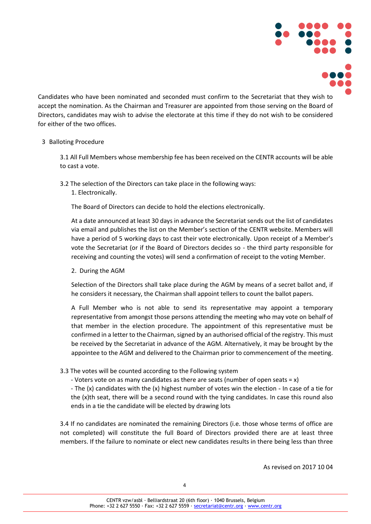

Candidates who have been nominated and seconded must confirm to the Secretariat that they wish to accept the nomination. As the Chairman and Treasurer are appointed from those serving on the Board of Directors, candidates may wish to advise the electorate at this time if they do not wish to be considered for either of the two offices.

#### 3 Balloting Procedure

3.1 All Full Members whose membership fee has been received on the CENTR accounts will be able to cast a vote.

3.2 The selection of the Directors can take place in the following ways: 1. Electronically.

The Board of Directors can decide to hold the elections electronically.

At a date announced at least 30 days in advance the Secretariat sends out the list of candidates via email and publishes the list on the Member's section of the CENTR website. Members will have a period of 5 working days to cast their vote electronically. Upon receipt of a Member's vote the Secretariat (or if the Board of Directors decides so - the third party responsible for receiving and counting the votes) will send a confirmation of receipt to the voting Member.

2. During the AGM

Selection of the Directors shall take place during the AGM by means of a secret ballot and, if he considers it necessary, the Chairman shall appoint tellers to count the ballot papers.

A Full Member who is not able to send its representative may appoint a temporary representative from amongst those persons attending the meeting who may vote on behalf of that member in the election procedure. The appointment of this representative must be confirmed in a letter to the Chairman, signed by an authorised official of the registry. This must be received by the Secretariat in advance of the AGM. Alternatively, it may be brought by the appointee to the AGM and delivered to the Chairman prior to commencement of the meeting.

- 3.3 The votes will be counted according to the Following system
	- Voters vote on as many candidates as there are seats (number of open seats = x)

- The (x) candidates with the (x) highest number of votes win the election - In case of a tie for the (x)th seat, there will be a second round with the tying candidates. In case this round also ends in a tie the candidate will be elected by drawing lots

3.4 If no candidates are nominated the remaining Directors (i.e. those whose terms of office are not completed) will constitute the full Board of Directors provided there are at least three members. If the failure to nominate or elect new candidates results in there being less than three